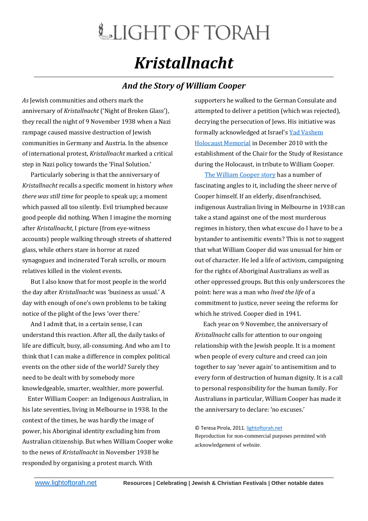## LIGHT OF TORAH *Kristallnacht*

## *And the Story of William Cooper*

*As* Jewish communities and others mark the anniversary of *Kristallnacht* ('Night of Broken Glass'), they recall the night of 9 November 1938 when a Nazi rampage caused massive destruction of Jewish communities in Germany and Austria. In the absence of international protest, *Kristallnacht* marked a critical step in Nazi policy towards the 'Final Solution.'

 Particularly sobering is that the anniversary of *Kristallnacht* recalls a specific moment in history *when there was still time* for people to speak up; a moment which passed all too silently. Evil triumphed because good people did nothing. When I imagine the morning after *Kristallnacht*, I picture (from eye-witness accounts) people walking through streets of shattered glass, while others stare in horror at razed synagogues and incinerated Torah scrolls, or mourn relatives killed in the violent events.

 But I also know that for most people in the world the day after *Kristallnacht* was 'business as usual.' A day with enough of one's own problems to be taking notice of the plight of the Jews 'over there.'

 And I admit that, in a certain sense, I can understand this reaction. After all, the daily tasks of life are difficult, busy, all-consuming. And who am I to think that I can make a difference in complex political events on the other side of the world? Surely they need to be dealt with by somebody more knowledgeable, smarter, wealthier, more powerful.

 Enter William Cooper: an Indigenous Australian, in his late seventies, living in Melbourne in 1938. In the context of the times, he was hardly the image of power, his Aboriginal identity excluding him from Australian citizenship. But when William Cooper woke to the news of *Kristallnacht* in November 1938 he responded by organising a protest march. With

supporters he walked to the German Consulate and attempted to deliver a petition (which was rejected), decrying the persecution of Jews. His initiative was formally acknowledged at Israel's [Yad Vashem](http://www1.yadvashem.org/yv/en/pressroom/pressreleases/pr_details.asp?cid=654)  [Holocaust Memorial](http://www1.yadvashem.org/yv/en/pressroom/pressreleases/pr_details.asp?cid=654) in December 2010 with the establishment of the Chair for the Study of Resistance during the Holocaust, in tribute to William Cooper.

 [The William Cooper story](http://www.abc.net.au/7.30/content/2010/s3082041.htm) has a number of fascinating angles to it, including the sheer nerve of Cooper himself. If an elderly, disenfranchised, indigenous Australian living in Melbourne in 1938 can take a stand against one of the most murderous regimes in history, then what excuse do I have to be a bystander to antisemitic events? This is not to suggest that what William Cooper did was unusual for him or out of character. He led a life of activism, campaigning for the rights of Aboriginal Australians as well as other oppressed groups. But this only underscores the point: here was a man who *lived the life* of a commitment to justice, never seeing the reforms for which he strived. Cooper died in 1941.

 Each year on 9 November, the anniversary of *Kristallnacht* calls for attention to our ongoing relationship with the Jewish people. It is a moment when people of every culture and creed can join together to say 'never again' to antisemitism and to every form of destruction of human dignity. It is a call to personal responsibility for the human family. For Australians in particular, William Cooper has made it the anniversary to declare: 'no excuses.'

## © Teresa Pirola, 2011[. lightoftorah.net](http://www.lightoftorah.net/)

Reproduction for non-commercial purposes permitted with acknowledgement of website.